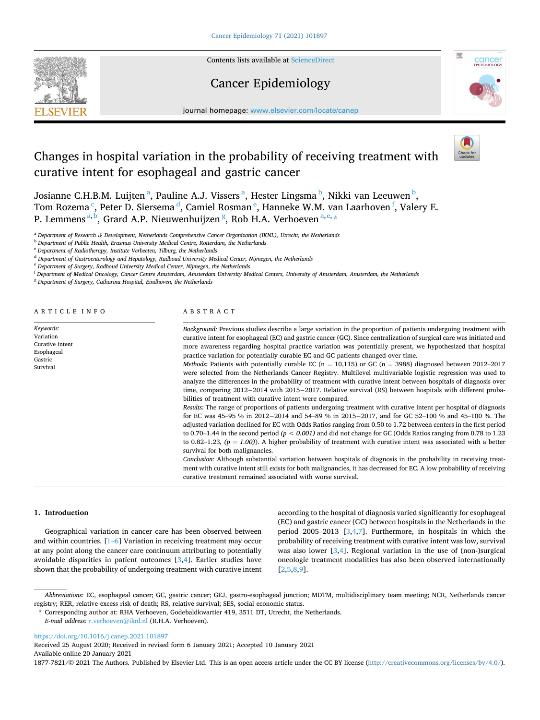**SEVIER** 

Contents lists available at [ScienceDirect](www.sciencedirect.com/science/journal/18777821)

## Cancer Epidemiology



journal homepage: [www.elsevier.com/locate/canep](https://www.elsevier.com/locate/canep) 

# Changes in hospital variation in the probability of receiving treatment with curative intent for esophageal and gastric cancer

Josianne C.H.B.M. Luijten <sup>a</sup>, Pauline A.J. Vissers <sup>a</sup>, Hester Lingsma <sup>b</sup>, Nikki van Leeuwen <sup>b</sup>, Tom Rozema  $\cdot$ , Peter D. Siersema  $\cdot$ , Camiel Rosman  $\cdot$ , Hanneke W.M. van Laarhoven  $\cdot$ , Valery E. P. Lemmens <sup>a, b</sup>, Grard A.P. Nieuwenhuijzen <sup>g</sup>, Rob H.A. Verhoeven <sup>a, e,</sup> \*

<sup>a</sup> *Department of Research & Development, Netherlands Comprehensive Cancer Organization (IKNL), Utrecht, the Netherlands* 

<sup>b</sup> *Department of Public Health, Erasmus University Medical Centre, Rotterdam, the Netherlands* 

<sup>c</sup> *Department of Radiotherapy, Institute Verbeeten, Tilburg, the Netherlands* 

<sup>d</sup> *Department of Gastroenterology and Hepatology, Radboud University Medical Center, Nijmegen, the Netherlands* 

<sup>e</sup> *Department of Surgery, Radboud University Medical Center, Nijmegen, the Netherlands* 

<sup>f</sup> *Department of Medical Oncology, Cancer Centre Amsterdam, Amsterdam University Medical Centers, University of Amsterdam, Amsterdam, the Netherlands* 

<sup>g</sup> *Department of Surgery, Catharina Hospital, Eindhoven, the Netherlands* 

ARTICLE INFO

*Keywords:*  Variation Curative intent Esophageal Gastric Survival

#### ABSTRACT

*Background:* Previous studies describe a large variation in the proportion of patients undergoing treatment with curative intent for esophageal (EC) and gastric cancer (GC). Since centralization of surgical care was initiated and more awareness regarding hospital practice variation was potentially present, we hypothesized that hospital practice variation for potentially curable EC and GC patients changed over time.

*Methods:* Patients with potentially curable EC ( $n = 10,115$ ) or GC ( $n = 3988$ ) diagnosed between 2012–2017 were selected from the Netherlands Cancer Registry. Multilevel multivariable logistic regression was used to analyze the differences in the probability of treatment with curative intent between hospitals of diagnosis over time, comparing 2012− 2014 with 2015− 2017. Relative survival (RS) between hospitals with different probabilities of treatment with curative intent were compared.

*Results:* The range of proportions of patients undergoing treatment with curative intent per hospital of diagnosis for EC was 45–95 % in 2012− 2014 and 54–89 % in 2015− 2017, and for GC 52–100 % and 45–100 %. The adjusted variation declined for EC with Odds Ratios ranging from 0.50 to 1.72 between centers in the first period to 0.70–1.44 in the second period *(p < 0.001)* and did not change for GC (Odds Ratios ranging from 0.78 to 1.23 to 0.82–1.23*, (p = 1.00)*). A higher probability of treatment with curative intent was associated with a better survival for both malignancies.

*Conclusion:* Although substantial variation between hospitals of diagnosis in the probability in receiving treatment with curative intent still exists for both malignancies, it has decreased for EC. A low probability of receiving curative treatment remained associated with worse survival.

### **1. Introduction**

Geographical variation in cancer care has been observed between and within countries. [\[1](#page-8-0)–6] Variation in receiving treatment may occur at any point along the cancer care continuum attributing to potentially avoidable disparities in patient outcomes [[3,4\]](#page-8-0). Earlier studies have shown that the probability of undergoing treatment with curative intent

according to the hospital of diagnosis varied significantly for esophageal (EC) and gastric cancer (GC) between hospitals in the Netherlands in the period 2005–2013 [[3](#page-8-0),[4,7\]](#page-8-0). Furthermore, in hospitals in which the probability of receiving treatment with curative intent was low, survival was also lower [[3,4\]](#page-8-0). Regional variation in the use of (non-)surgical oncologic treatment modalities has also been observed internationally [[2](#page-8-0),[5,8,9\]](#page-8-0).

<https://doi.org/10.1016/j.canep.2021.101897>

Available online 20 January 2021 Received 25 August 2020; Received in revised form 6 January 2021; Accepted 10 January 2021

1877-7821/© 2021 The Authors. Published by Elsevier Ltd. This is an open access article under the CC BY license [\(http://creativecommons.org/licenses/by/4.0/\)](http://creativecommons.org/licenses/by/4.0/).

*Abbreviations:* EC, esophageal cancer; GC, gastric cancer; GEJ, gastro-esophageal junction; MDTM, multidisciplinary team meeting; NCR, Netherlands cancer registry; RER, relative excess risk of death; RS, relative survival; SES, social economic status.

<sup>\*</sup> Corresponding author at: RHA Verhoeven, Godebaldkwartier 419, 3511 DT, Utrecht, the Netherlands.

*E-mail address:* [r.verhoeven@iknl.nl](mailto:r.verhoeven@iknl.nl) (R.H.A. Verhoeven).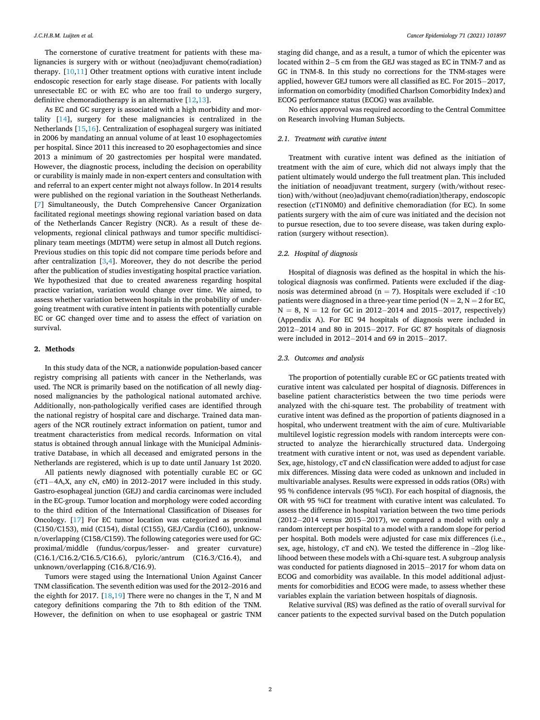The cornerstone of curative treatment for patients with these malignancies is surgery with or without (neo)adjuvant chemo(radiation) therapy. [\[10,11](#page-8-0)] Other treatment options with curative intent include endoscopic resection for early stage disease. For patients with locally unresectable EC or with EC who are too frail to undergo surgery, definitive chemoradiotherapy is an alternative [\[12](#page-8-0),[13\]](#page-8-0).

As EC and GC surgery is associated with a high morbidity and mortality [\[14](#page-8-0)], surgery for these malignancies is centralized in the Netherlands [[15,16\]](#page-8-0). Centralization of esophageal surgery was initiated in 2006 by mandating an annual volume of at least 10 esophagectomies per hospital. Since 2011 this increased to 20 esophagectomies and since 2013 a minimum of 20 gastrectomies per hospital were mandated. However, the diagnostic process, including the decision on operability or curability is mainly made in non-expert centers and consultation with and referral to an expert center might not always follow. In 2014 results were published on the regional variation in the Southeast Netherlands. [[7](#page-8-0)] Simultaneously, the Dutch Comprehensive Cancer Organization facilitated regional meetings showing regional variation based on data of the Netherlands Cancer Registry (NCR). As a result of these developments, regional clinical pathways and tumor specific multidisciplinary team meetings (MDTM) were setup in almost all Dutch regions. Previous studies on this topic did not compare time periods before and after centralization [[3](#page-8-0),[4\]](#page-8-0). Moreover, they do not describe the period after the publication of studies investigating hospital practice variation. We hypothesized that due to created awareness regarding hospital practice variation, variation would change over time. We aimed, to assess whether variation between hospitals in the probability of undergoing treatment with curative intent in patients with potentially curable EC or GC changed over time and to assess the effect of variation on survival.

#### **2. Methods**

In this study data of the NCR, a nationwide population-based cancer registry comprising all patients with cancer in the Netherlands, was used. The NCR is primarily based on the notification of all newly diagnosed malignancies by the pathological national automated archive. Additionally, non-pathologically verified cases are identified through the national registry of hospital care and discharge. Trained data managers of the NCR routinely extract information on patient, tumor and treatment characteristics from medical records. Information on vital status is obtained through annual linkage with the Municipal Administrative Database, in which all deceased and emigrated persons in the Netherlands are registered, which is up to date until January 1st 2020.

All patients newly diagnosed with potentially curable EC or GC (cT1− 4A,X, any cN, cM0) in 2012–2017 were included in this study. Gastro-esophageal junction (GEJ) and cardia carcinomas were included in the EC-group. Tumor location and morphology were coded according to the third edition of the International Classification of Diseases for Oncology. [[17\]](#page-8-0) For EC tumor location was categorized as proximal (C150/C153), mid (C154), distal (C155), GEJ/Cardia (C160), unknown/overlapping (C158/C159). The following categories were used for GC: proximal/middle (fundus/corpus/lesser- and greater curvature) (C16.1/C16.2/C16.5/C16.6), pyloric/antrum (C16.3/C16.4), and unknown/overlapping (C16.8/C16.9).

Tumors were staged using the International Union Against Cancer TNM classification. The seventh edition was used for the 2012–2016 and the eighth for 2017. [[18,19\]](#page-8-0) There were no changes in the T, N and M category definitions comparing the 7th to 8th edition of the TNM. However, the definition on when to use esophageal or gastric TNM

staging did change, and as a result, a tumor of which the epicenter was located within 2− 5 cm from the GEJ was staged as EC in TNM-7 and as GC in TNM-8. In this study no corrections for the TNM-stages were applied, however GEJ tumors were all classified as EC. For 2015− 2017, information on comorbidity (modified Charlson Comorbidity Index) and ECOG performance status (ECOG) was available.

No ethics approval was required according to the Central Committee on Research involving Human Subjects.

### *2.1. Treatment with curative intent*

Treatment with curative intent was defined as the initiation of treatment with the aim of cure, which did not always imply that the patient ultimately would undergo the full treatment plan. This included the initiation of neoadjuvant treatment, surgery (with/without resection) with/without (neo)adjuvant chemo(radiation)therapy, endoscopic resection (cT1N0M0) and definitive chemoradiation (for EC). In some patients surgery with the aim of cure was initiated and the decision not to pursue resection, due to too severe disease, was taken during exploration (surgery without resection).

#### *2.2. Hospital of diagnosis*

Hospital of diagnosis was defined as the hospital in which the histological diagnosis was confirmed. Patients were excluded if the diagnosis was determined abroad (n = 7). Hospitals were excluded if *<*10 patients were diagnosed in a three-year time period ( $N = 2$ ,  $N = 2$  for EC, N = 8, N = 12 for GC in 2012− 2014 and 2015− 2017, respectively) (Appendix A). For EC 94 hospitals of diagnosis were included in 2012− 2014 and 80 in 2015− 2017. For GC 87 hospitals of diagnosis were included in 2012− 2014 and 69 in 2015− 2017.

#### *2.3. Outcomes and analysis*

The proportion of potentially curable EC or GC patients treated with curative intent was calculated per hospital of diagnosis. Differences in baseline patient characteristics between the two time periods were analyzed with the chi-square test. The probability of treatment with curative intent was defined as the proportion of patients diagnosed in a hospital, who underwent treatment with the aim of cure. Multivariable multilevel logistic regression models with random intercepts were constructed to analyze the hierarchically structured data. Undergoing treatment with curative intent or not, was used as dependent variable. Sex, age, histology, cT and cN classification were added to adjust for case mix differences. Missing data were coded as unknown and included in multivariable analyses. Results were expressed in odds ratios (ORs) with 95 % confidence intervals (95 %CI). For each hospital of diagnosis, the OR with 95 %CI for treatment with curative intent was calculated. To assess the difference in hospital variation between the two time periods (2012− 2014 versus 2015− 2017), we compared a model with only a random intercept per hospital to a model with a random slope for period per hospital. Both models were adjusted for case mix differences (i.e., sex, age, histology, cT and cN). We tested the difference in –2log likelihood between these models with a Chi-square test. A subgroup analysis was conducted for patients diagnosed in 2015− 2017 for whom data on ECOG and comorbidity was available. In this model additional adjustments for comorbidities and ECOG were made, to assess whether these variables explain the variation between hospitals of diagnosis.

Relative survival (RS) was defined as the ratio of overall survival for cancer patients to the expected survival based on the Dutch population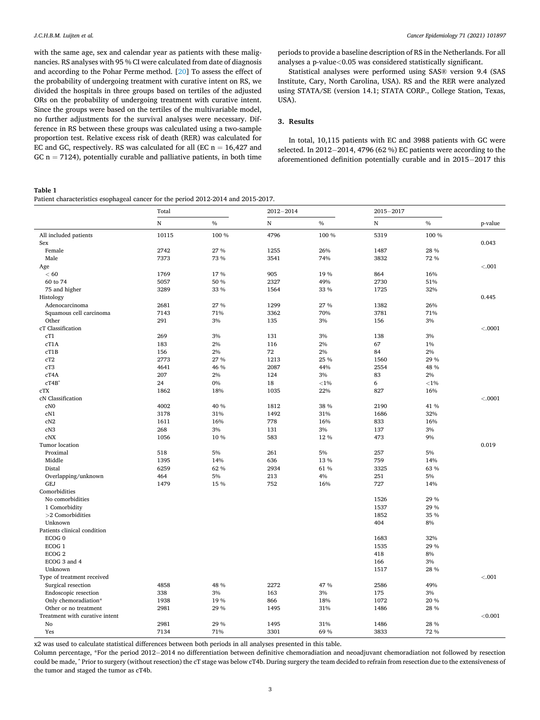<span id="page-2-0"></span>with the same age, sex and calendar year as patients with these malignancies. RS analyses with 95 % CI were calculated from date of diagnosis and according to the Pohar Perme method. [\[20](#page-8-0)] To assess the effect of the probability of undergoing treatment with curative intent on RS, we divided the hospitals in three groups based on tertiles of the adjusted ORs on the probability of undergoing treatment with curative intent. Since the groups were based on the tertiles of the multivariable model, no further adjustments for the survival analyses were necessary. Difference in RS between these groups was calculated using a two-sample proportion test. Relative excess risk of death (RER) was calculated for EC and GC, respectively. RS was calculated for all (EC  $n = 16,427$  and GC  $n = 7124$ ), potentially curable and palliative patients, in both time periods to provide a baseline description of RS in the Netherlands. For all analyses a p-value*<*0.05 was considered statistically significant.

Statistical analyses were performed using SAS® version 9.4 (SAS Institute, Cary, North Carolina, USA). RS and the RER were analyzed using STATA/SE (version 14.1; STATA CORP., College Station, Texas, USA).

## **3. Results**

In total, 10,115 patients with EC and 3988 patients with GC were selected. In 2012− 2014, 4796 (62 %) EC patients were according to the aforementioned definition potentially curable and in 2015− 2017 this

#### **Table 1**

Patient characteristics esophageal cancer for the period 2012-2014 and 2015-2017.

|                                | Total     |               | $2012 - 2014$ |          | $2015 - 2017$ |          |          |
|--------------------------------|-----------|---------------|---------------|----------|---------------|----------|----------|
|                                | ${\bf N}$ | $\frac{0}{0}$ | ${\bf N}$     | $\%$     | $\mathbf N$   | $\%$     | p-value  |
| All included patients          | 10115     | 100 %         | 4796          | 100 %    | 5319          | 100 %    |          |
| Sex                            |           |               |               |          |               |          | 0.043    |
| Female                         | 2742      | 27 %          | 1255          | 26%      | 1487          | 28 %     |          |
| Male                           | 7373      | 73 %          | 3541          | 74%      | 3832          | 72 %     |          |
| Age                            |           |               |               |          |               |          | $< 0.01$ |
| < 60                           | 1769      | 17%           | 905           | 19%      | 864           | 16%      |          |
| 60 to 74                       | 5057      | 50 %          | 2327          | 49%      | 2730          | 51%      |          |
| 75 and higher                  | 3289      | 33 %          | 1564          | 33 %     | 1725          | 32%      |          |
| Histology                      |           |               |               |          |               |          | 0.445    |
| Adenocarcinoma                 | 2681      | 27 %          | 1299          | 27 %     | 1382          | 26%      |          |
| Squamous cell carcinoma        | 7143      | 71%           | 3362          | 70%      | 3781          | 71%      |          |
| Other                          | 291       | 3%            | 135           | 3%       | 156           | 3%       |          |
| cT Classification              |           |               |               |          |               |          | < .0001  |
| cT1                            | 269       | 3%            | 131           | 3%       | 138           | 3%       |          |
| cT1A                           | 183       | 2%            | 116           | 2%       | 67            | 1%       |          |
| cT1B                           | 156       | 2%            | 72            | 2%       | 84            | $2\%$    |          |
| cT2                            | 2773      | 27 %          | 1213          | 25 %     | 1560          | 29 %     |          |
| cT3                            | 4641      | 46 %          | 2087          | 44%      | 2554          | 48 %     |          |
| cT4A                           | 207       | 2%            | 124           | 3%       | 83            | 2%       |          |
| cT4B                           | 24        | 0%            | 18            | ${<}1\%$ | 6             | $<\!1\%$ |          |
| cTX                            | 1862      | 18%           | 1035          | 22%      | 827           | 16%      |          |
| cN Classification              |           |               |               |          |               |          | < .0001  |
| cN0                            | 4002      | 40 %          | 1812          | 38 %     | 2190          | 41 %     |          |
| cN1                            | 3178      | 31%           | 1492          | 31%      | 1686          | 32%      |          |
| cN2                            | 1611      | 16%           | 778           | 16%      | 833           | 16%      |          |
| cN3                            | 268       | 3%            | 131           | 3%       | 137           | 3%       |          |
| c <sub>N</sub> X               | 1056      | 10%           | 583           | 12%      | 473           | 9%       |          |
| Tumor location                 |           |               |               |          |               |          | 0.019    |
| Proximal                       | 518       | 5%            | 261           | 5%       | 257           | 5%       |          |
| Middle                         | 1395      | 14%           | 636           | 13 %     | 759           | 14%      |          |
| Distal                         | 6259      | 62%           | 2934          | 61 %     | 3325          | 63 %     |          |
| Overlapping/unknown            | 464       | 5%            | 213           | 4%       | 251           | 5%       |          |
| <b>GEJ</b>                     | 1479      | 15 %          | 752           | 16%      | 727           | 14%      |          |
| Comorbidities                  |           |               |               |          |               |          |          |
| No comorbidities               |           |               |               |          | 1526          | 29 %     |          |
| 1 Comorbidity                  |           |               |               |          | 1537          | 29 %     |          |
| $>2$ Comorbidities             |           |               |               |          | 1852          | 35 %     |          |
| Unknown                        |           |               |               |          | 404           | 8%       |          |
| Patients clinical condition    |           |               |               |          |               |          |          |
| ECOG <sub>0</sub>              |           |               |               |          | 1683          | 32%      |          |
| ECOG <sub>1</sub>              |           |               |               |          | 1535          | 29 %     |          |
| ECOG <sub>2</sub>              |           |               |               |          | 418           | 8%       |          |
| ECOG 3 and 4                   |           |               |               |          | 166           | 3%       |          |
| Unknown                        |           |               |               |          | 1517          | 28 %     |          |
| Type of treatment received     |           |               |               |          |               |          | < 0.001  |
| Surgical resection             | 4858      | 48 %          | 2272          | 47 %     | 2586          | 49%      |          |
| Endoscopic resection           | 338       | 3%            | 163           | 3%       | 175           | 3%       |          |
| Only chemoradiation*           | 1938      | 19%           | 866           | 18%      | 1072          | 20 %     |          |
| Other or no treatment          | 2981      | 29 %          | 1495          | 31%      | 1486          | 28 %     |          |
| Treatment with curative intent |           |               |               |          |               |          | < 0.001  |
| No                             | 2981      | 29 %          | 1495          | 31%      | 1486          | 28 %     |          |
| Yes                            | 7134      | 71%           | 3301          | 69%      | 3833          | 72 %     |          |

x2 was used to calculate statistical differences between both periods in all analyses presented in this table.

Column percentage, \*For the period 2012− 2014 no differentiation between definitive chemoradiation and neoadjuvant chemoradiation not followed by resection could be made, ^ Prior to surgery (without resection) the cT stage was below cT4b. During surgery the team decided to refrain from resection due to the extensiveness of the tumor and staged the tumor as cT4b.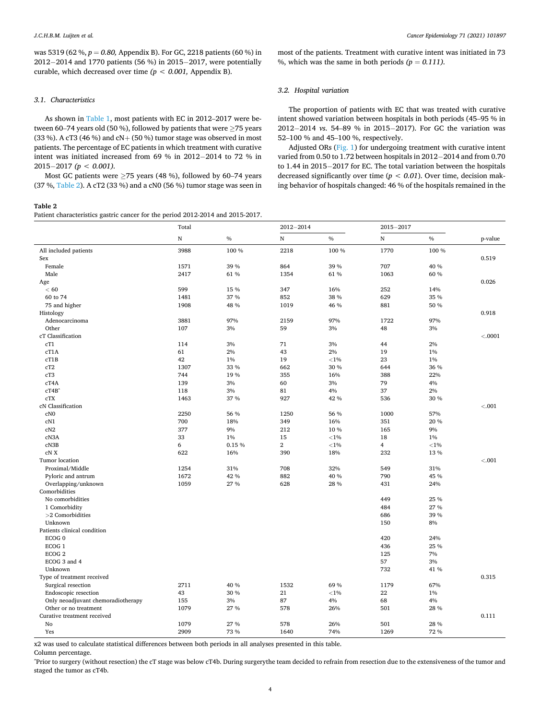was 5319 (62 %, *p* = *0.80,* Appendix B). For GC, 2218 patients (60 %) in 2012− 2014 and 1770 patients (56 %) in 2015− 2017, were potentially curable, which decreased over time *(p < 0.001,* Appendix B).

### *3.1. Characteristics*

As shown in [Table 1,](#page-2-0) most patients with EC in 2012–2017 were between 60–74 years old (50 %), followed by patients that were ≥75 years (33 %). A cT3 (46 %) and cN+ (50 %) tumor stage was observed in most patients. The percentage of EC patients in which treatment with curative intent was initiated increased from 69 % in 2012− 2014 to 72 % in 2015− 2017 *(p < 0.001).* 

Most GC patients were  $\geq$ 75 years (48 %), followed by 60–74 years (37 %, Table 2). A cT2 (33 %) and a cN0 (56 %) tumor stage was seen in

#### **Table 2**

Patient characteristics gastric cancer for the period 2012-2014 and 2015-2017.

most of the patients. Treatment with curative intent was initiated in 73 %, which was the same in both periods  $(p = 0.111)$ .

#### *3.2. Hospital variation*

The proportion of patients with EC that was treated with curative intent showed variation between hospitals in both periods (45–95 % in 2012− 2014 *vs*. 54–89 % in 2015− 2017). For GC the variation was 52–100 % and 45–100 %, respectively.

Adjusted ORs [\(Fig. 1](#page-4-0)) for undergoing treatment with curative intent varied from 0.50 to 1.72 between hospitals in 2012− 2014 and from 0.70 to 1.44 in 2015− 2017 for EC. The total variation between the hospitals decreased significantly over time (*p < 0.01*). Over time, decision making behavior of hospitals changed: 46 % of the hospitals remained in the

|                                    | Total |       | $2012 - 2014$  |          | $2015 - 2017$  |               |         |
|------------------------------------|-------|-------|----------------|----------|----------------|---------------|---------|
|                                    | N     | $\%$  | $\mathbf N$    | $\%$     | $\mathbf N$    | $\frac{0}{0}$ | p-value |
| All included patients              | 3988  | 100 % | 2218           | 100 %    | 1770           | 100 %         |         |
| Sex                                |       |       |                |          |                |               | 0.519   |
| Female                             | 1571  | 39 %  | 864            | 39 %     | 707            | 40 %          |         |
| Male                               | 2417  | 61 %  | 1354           | 61 %     | 1063           | 60 %          |         |
| Age                                |       |       |                |          |                |               | 0.026   |
| < 60                               | 599   | 15 %  | 347            | 16%      | 252            | 14%           |         |
| 60 to 74                           | 1481  | 37 %  | 852            | 38 %     | 629            | 35 %          |         |
| 75 and higher                      | 1908  | 48 %  | 1019           | 46 %     | 881            | 50 %          |         |
| Histology                          |       |       |                |          |                |               | 0.918   |
| Adenocarcinoma                     | 3881  | 97%   | 2159           | 97%      | 1722           | 97%           |         |
| Other                              | 107   | 3%    | 59             | 3%       | 48             | 3%            |         |
| cT Classification                  |       |       |                |          |                |               | < .0001 |
| cT1                                | 114   | 3%    | 71             | 3%       | 44             | 2%            |         |
| cT1A                               | 61    | 2%    | 43             | 2%       | 19             | 1%            |         |
| cT1B                               | 42    | 1%    | 19             | ${<}1\%$ | 23             | 1%            |         |
| cT2                                | 1307  | 33 %  | 662            | 30 %     | 644            | 36 %          |         |
| cT3                                | 744   | 19%   | 355            | 16%      | 388            | 22%           |         |
| cT4A                               | 139   | 3%    | 60             | 3%       | 79             | 4%            |         |
| cT4B <sup>^</sup>                  | 118   | 3%    | 81             | 4%       | 37             | 2%            |         |
| cTX                                | 1463  | 37 %  | 927            | 42 %     | 536            | 30 %          |         |
| cN Classification                  |       |       |                |          |                |               | < .001  |
| cN <sub>0</sub>                    | 2250  | 56 %  | 1250           | 56 %     | 1000           | 57%           |         |
| cN1                                | 700   | 18%   | 349            | 16%      | 351            | 20 %          |         |
| cN2                                | 377   | 9%    | 212            | 10%      | 165            | 9%            |         |
|                                    | 33    |       |                |          |                | 1%            |         |
| cN3A                               |       | 1%    | 15             | ${<}1\%$ | 18             |               |         |
| cN3B                               | 6     | 0.15% | $\overline{2}$ | ${<}1\%$ | $\overline{4}$ | ${<}1%$       |         |
| cN X                               | 622   | 16%   | 390            | 18%      | 232            | 13 %          |         |
| Tumor location                     |       |       |                |          |                |               | < .001  |
| Proximal/Middle                    | 1254  | 31%   | 708            | 32%      | 549            | 31%           |         |
| Pyloric and antrum                 | 1672  | 42 %  | 882            | 40 %     | 790            | 45 %          |         |
| Overlapping/unknown                | 1059  | 27 %  | 628            | 28 %     | 431            | 24%           |         |
| Comorbidities                      |       |       |                |          |                |               |         |
| No comorbidities                   |       |       |                |          | 449            | 25 %          |         |
| 1 Comorbidity                      |       |       |                |          | 484            | 27 %          |         |
| $>2$ Comorbidities                 |       |       |                |          | 686            | 39 %          |         |
| Unknown                            |       |       |                |          | 150            | 8%            |         |
| Patients clinical condition        |       |       |                |          |                |               |         |
| ECOG <sub>0</sub>                  |       |       |                |          | 420            | 24%           |         |
| ECOG <sub>1</sub>                  |       |       |                |          | 436            | 25 %          |         |
| ECOG <sub>2</sub>                  |       |       |                |          | 125            | 7%            |         |
| ECOG 3 and 4                       |       |       |                |          | 57             | 3%            |         |
| Unknown                            |       |       |                |          | 732            | 41 %          |         |
| Type of treatment received         |       |       |                |          |                |               | 0.315   |
| Surgical resection                 | 2711  | 40 %  | 1532           | 69 %     | 1179           | 67%           |         |
| Endoscopic resection               | 43    | 30 %  | 21             | ${<}1\%$ | 22             | $1\%$         |         |
| Only neoadjuvant chemoradiotherapy | 155   | 3%    | 87             | 4%       | 68             | 4%            |         |
| Other or no treatment              | 1079  | 27 %  | 578            | 26%      | 501            | 28 %          |         |
| Curative treatment received        |       |       |                |          |                |               | 0.111   |
| No                                 | 1079  | 27 %  | 578            | 26%      | 501            | 28 %          |         |
| Yes                                | 2909  | 73 %  | 1640           | 74%      | 1269           | 72 %          |         |

x2 was used to calculate statistical differences between both periods in all analyses presented in this table.

Column percentage.

^Prior to surgery (without resection) the cT stage was below cT4b. During surgerythe team decided to refrain from resection due to the extensiveness of the tumor and staged the tumor as cT4b.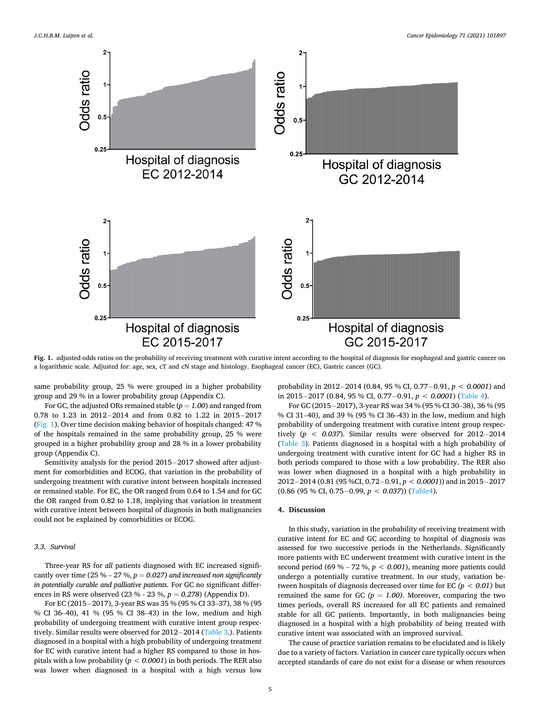<span id="page-4-0"></span>

Fig. 1. adjusted odds ratios on the probability of receiving treatment with curative intent according to the hospital of diagnosis for esophageal and gastric cancer on a logarithmic scale. Adjusted for: age, sex, cT and cN stage and histology. Esophageal cancer (EC), Gastric cancer (GC).

same probability group, 25 % were grouped in a higher probability group and 29 % in a lower probability group (Appendix C).

For GC, the adjusted ORs remained stable  $(p = 1.00)$  and ranged from 0.78 to 1.23 in 2012− 2014 and from 0.82 to 1.22 in 2015− 2017 (Fig. 1). Over time decision making behavior of hospitals changed: 47 % of the hospitals remained in the same probability group, 25 % were grouped in a higher probability group and 28 % in a lower probability group (Appendix C).

Sensitivity analysis for the period 2015− 2017 showed after adjustment for comorbidities and ECOG, that variation in the probability of undergoing treatment with curative intent between hospitals increased or remained stable. For EC, the OR ranged from 0.64 to 1.54 and for GC the OR ranged from 0.82 to 1.18, implying that variation in treatment with curative intent between hospital of diagnosis in both malignancies could not be explained by comorbidities or ECOG.

#### *3.3. Survival*

Three-year RS for *all* patients diagnosed with EC increased significantly over time (25 % – 27 %,  $p = 0.027$ ) and increased non significantly *in potentially curable and palliative patients.* For GC no significant differences in RS were observed (23 % - 23 %, *p* = *0.278*) (Appendix D).

For EC (2015− 2017), 3-year RS was 35 % (95 % CI 33–37), 38 % (95 % CI 36–40), 41 % (95 % CI 38–43) in the low, medium and high probability of undergoing treatment with curative intent group respectively. Similar results were observed for 2012− 2014 [\(Table 3](#page-5-0).). Patients diagnosed in a hospital with a high probability of undergoing treatment for EC with curative intent had a higher RS compared to those in hospitals with a low probability (*p < 0.0001*) in both periods. The RER also was lower when diagnosed in a hospital with a high versus low

probability in 2012− 2014 (0.84, 95 % CI, 0.77− 0.91, *p < 0.0001*) and in 2015− 2017 (0.84, 95 % CI, 0.77− 0.91, *p < 0.0001*) [\(Table 4\)](#page-5-0).

For GC (2015− 2017), 3-year RS was 34 % (95 % CI 30–38), 36 % (95 % CI 31–40), and 39 % (95 % CI 36–43) in the low, medium and high probability of undergoing treatment with curative intent group respectively (*p < 0.037*). Similar results were observed for 2012− 2014 ([Table 3\)](#page-5-0). Patients diagnosed in a hospital with a high probability of undergoing treatment with curative intent for GC had a higher RS in both periods compared to those with a low probability. The RER also was lower when diagnosed in a hospital with a high probability in 2012− 2014 (0.81 (95 %CI, 0.72− 0.91, *p < 0.0001*)) and in 2015− 2017 (0.86 (95 % CI, 0.75− 0.99, *p < 0.037*)) ([Table4\)](#page-5-0).

#### **4. Discussion**

In this study, variation in the probability of receiving treatment with curative intent for EC and GC according to hospital of diagnosis was assessed for two successive periods in the Netherlands. Significantly more patients with EC underwent treatment with curative intent in the second period (69 % – 72 %, *p < 0.001*), meaning more patients could undergo a potentially curative treatment. In our study, variation between hospitals of diagnosis decreased over time for EC *(p < 0.01)* but remained the same for GC  $(p = 1.00)$ . Moreover, comparing the two times periods, overall RS increased for all EC patients and remained stable for all GC patients. Importantly, in both malignancies being diagnosed in a hospital with a high probability of being treated with curative intent was associated with an improved survival.

The cause of practice variation remains to be elucidated and is likely due to a variety of factors. Variation in cancer care typically occurs when accepted standards of care do not exist for a disease or when resources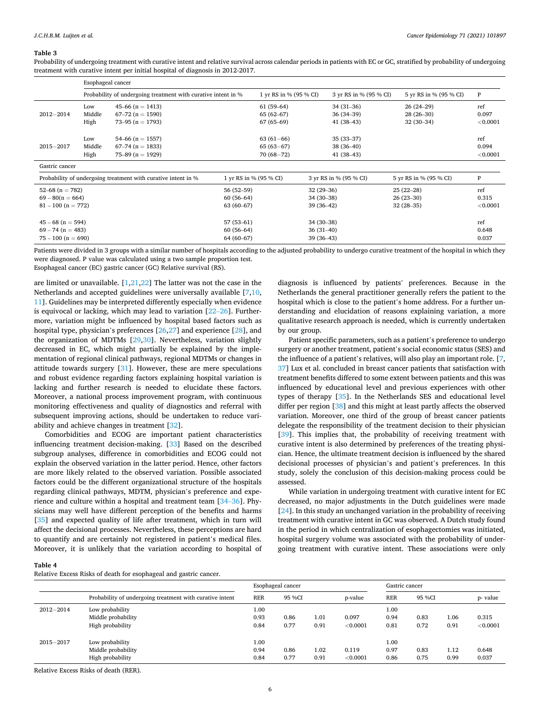#### <span id="page-5-0"></span>**Table 3**

Probability of undergoing treatment with curative intent and relative survival across calendar periods in patients with EC or GC, stratified by probability of undergoing treatment with curative intent per initial hospital of diagnosis in 2012-2017.

|                      | Esophageal cancer |                                                               |             |                        |                        |                        |              |
|----------------------|-------------------|---------------------------------------------------------------|-------------|------------------------|------------------------|------------------------|--------------|
|                      |                   | Probability of undergoing treatment with curative intent in % |             | 1 yr RS in % (95 % CI) | 3 yr RS in % (95 % CI) | 5 yr RS in % (95 % CI) | $\, {\bf p}$ |
|                      | Low               | 45–66 ( $n = 1413$ )                                          |             | $61(59-64)$            | $34(31-36)$            | $26(24-29)$            | ref          |
| $2012 - 2014$        | Middle            | $67-72$ (n = 1590)                                            |             | $65(62-67)$            | $36(34-39)$            | $28(26-30)$            | 0.097        |
|                      | High              | 73–95 ( $n = 1793$ )                                          |             | $67(65-69)$            | $41(38-43)$            | $32(30-34)$            | < 0.0001     |
|                      | Low               | $54-66$ (n = 1557)                                            |             | $63(61-66)$            | $35(33-37)$            |                        | ref          |
| $2015 - 2017$        | Middle            | $67-74$ (n = 1833)                                            |             | $65(63-67)$            | $38(36-40)$            |                        | 0.094        |
|                      | High              | 75–89 ( $n = 1929$ )                                          |             | $70(68 - 72)$          | $41(38-43)$            |                        | < 0.0001     |
| Gastric cancer       |                   |                                                               |             |                        |                        |                        |              |
|                      |                   | Probability of undergoing treatment with curative intent in % |             | 1 yr RS in % (95 % CI) | 3 yr RS in % (95 % CI) | 5 yr RS in % (95 % CI) | P            |
| $52-68$ (n = 782)    |                   |                                                               | $56(52-59)$ |                        | $32(29-36)$            | $25(22-28)$            | ref          |
| $69 - 80(n = 664)$   |                   |                                                               | $60(56-64)$ |                        | $34(30-38)$            | $26(23-30)$            | 0.315        |
| $81 - 100$ (n = 772) |                   |                                                               | $63(60-67)$ |                        | $39(36-42)$            | $32(28-35)$            | < 0.0001     |
| $45 - 68$ (n = 594)  |                   |                                                               | $57(53-61)$ |                        | $34(30-38)$            |                        | ref          |
| $69 - 74$ (n = 483)  |                   |                                                               | $60(56-64)$ |                        | $36(31-40)$            |                        | 0.648        |
| $75 - 100$ (n = 690) |                   |                                                               | 64 (60-67)  |                        | $39(36-43)$            |                        | 0.037        |

Patients were divided in 3 groups with a similar number of hospitals according to the adjusted probability to undergo curative treatment of the hospital in which they were diagnosed. P value was calculated using a two sample proportion test.

Esophageal cancer (EC) gastric cancer (GC) Relative survival (RS).

are limited or unavailable. [[1,21,22](#page-8-0)] The latter was not the case in the Netherlands and accepted guidelines were universally available [[7,10](#page-8-0), [11\]](#page-8-0). Guidelines may be interpreted differently especially when evidence is equivocal or lacking, which may lead to variation [22–[26\]](#page-8-0). Furthermore, variation might be influenced by hospital based factors such as hospital type, physician's preferences [[26,27\]](#page-8-0) and experience [[28\]](#page-8-0), and the organization of MDTMs [\[29](#page-8-0),[30\]](#page-8-0). Nevertheless, variation slightly decreased in EC, which might partially be explained by the implementation of regional clinical pathways, regional MDTMs or changes in attitude towards surgery [[31\]](#page-8-0). However, these are mere speculations and robust evidence regarding factors explaining hospital variation is lacking and further research is needed to elucidate these factors. Moreover, a national process improvement program, with continuous monitoring effectiveness and quality of diagnostics and referral with subsequent improving actions, should be undertaken to reduce variability and achieve changes in treatment [\[32](#page-8-0)].

Comorbidities and ECOG are important patient characteristics influencing treatment decision-making. [[33\]](#page-8-0) Based on the described subgroup analyses, difference in comorbidities and ECOG could not explain the observed variation in the latter period. Hence, other factors are more likely related to the observed variation. Possible associated factors could be the different organizational structure of the hospitals regarding clinical pathways, MDTM, physician's preference and experience and culture within a hospital and treatment team [34–[36\]](#page-8-0). Physicians may well have different perception of the benefits and harms [[35\]](#page-8-0) and expected quality of life after treatment, which in turn will affect the decisional processes. Nevertheless, these perceptions are hard to quantify and are certainly not registered in patient's medical files. Moreover, it is unlikely that the variation according to hospital of

diagnosis is influenced by patients' preferences. Because in the Netherlands the general practitioner generally refers the patient to the hospital which is close to the patient's home address. For a further understanding and elucidation of reasons explaining variation, a more qualitative research approach is needed, which is currently undertaken by our group.

Patient specific parameters, such as a patient's preference to undergo surgery or another treatment, patient's social economic status (SES) and the influence of a patient's relatives, will also play an important role. [[7](#page-8-0), [37\]](#page-8-0) Lux et al. concluded in breast cancer patients that satisfaction with treatment benefits differed to some extent between patients and this was influenced by educational level and previous experiences with other types of therapy [\[35](#page-8-0)]. In the Netherlands SES and educational level differ per region [[38\]](#page-8-0) and this might at least partly affects the observed variation. Moreover, one third of the group of breast cancer patients delegate the responsibility of the treatment decision to their physician [[39\]](#page-8-0). This implies that, the probability of receiving treatment with curative intent is also determined by preferences of the treating physician. Hence, the ultimate treatment decision is influenced by the shared decisional processes of physician's and patient's preferences. In this study, solely the conclusion of this decision-making process could be assessed.

While variation in undergoing treatment with curative intent for EC decreased, no major adjustments in the Dutch guidelines were made [[24\]](#page-8-0). In this study an unchanged variation in the probability of receiving treatment with curative intent in GC was observed. A Dutch study found in the period in which centralization of esophagectomies was initiated, hospital surgery volume was associated with the probability of undergoing treatment with curative intent. These associations were only

**Table 4** 

Relative Excess Risks of death for esophageal and gastric cancer.

|               |                                                           | Esophageal cancer    |              |                   |                   | Gastric cancer       |              |              |                   |
|---------------|-----------------------------------------------------------|----------------------|--------------|-------------------|-------------------|----------------------|--------------|--------------|-------------------|
|               | Probability of undergoing treatment with curative intent  | <b>RER</b>           | 95 %CI       |                   | p-value           | <b>RER</b>           | 95 %CI       |              | p- value          |
| $2012 - 2014$ | Low probability<br>Middle probability<br>High probability | 1.00<br>0.93<br>0.84 | 0.86<br>0.77 | $_{1.01}$<br>0.91 | 0.097<br>< 0.0001 | 1.00<br>0.94<br>0.81 | 0.83<br>0.72 | 1.06<br>0.91 | 0.315<br>< 0.0001 |
| $2015 - 2017$ | Low probability<br>Middle probability<br>High probability | 1.00<br>0.94<br>0.84 | 0.86<br>0.77 | $1.02\,$<br>0.91  | 0.119<br>< 0.0001 | 1.00<br>0.97<br>0.86 | 0.83<br>0.75 | 1.12<br>0.99 | 0.648<br>0.037    |

Relative Excess Risks of death (RER).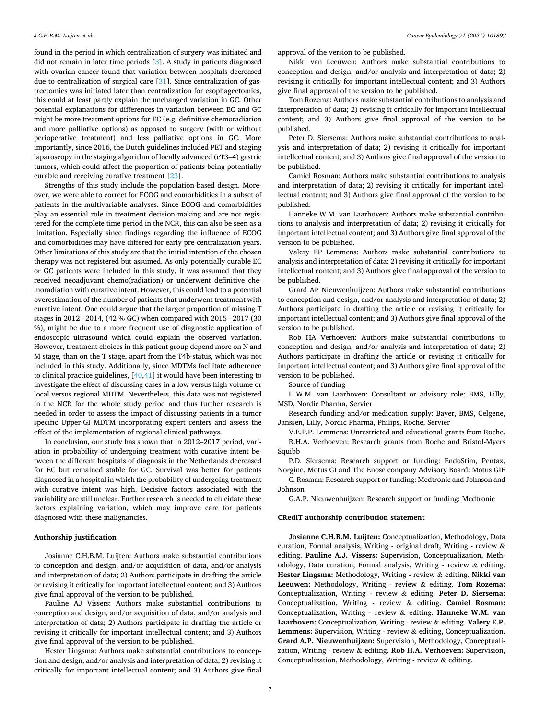found in the period in which centralization of surgery was initiated and did not remain in later time periods [\[3\]](#page-8-0). A study in patients diagnosed with ovarian cancer found that variation between hospitals decreased due to centralization of surgical care [\[31](#page-8-0)]. Since centralization of gastrectomies was initiated later than centralization for esophagectomies, this could at least partly explain the unchanged variation in GC. Other potential explanations for differences in variation between EC and GC might be more treatment options for EC (e.g. definitive chemoradiation and more palliative options) as opposed to surgery (with or without perioperative treatment) and less palliative options in GC. More importantly, since 2016, the Dutch guidelines included PET and staging laparoscopy in the staging algorithm of locally advanced (cT3–4) gastric tumors, which could affect the proportion of patients being potentially curable and receiving curative treatment [[23\]](#page-8-0).

Strengths of this study include the population-based design. Moreover, we were able to correct for ECOG and comorbidities in a subset of patients in the multivariable analyses. Since ECOG and comorbidities play an essential role in treatment decision-making and are not registered for the complete time period in the NCR, this can also be seen as a limitation. Especially since findings regarding the influence of ECOG and comorbidities may have differed for early pre-centralization years. Other limitations of this study are that the initial intention of the chosen therapy was not registered but assumed. As only potentially curable EC or GC patients were included in this study, it was assumed that they received neoadjuvant chemo(radiation) or underwent definitive chemoradiation with curative intent. However, this could lead to a potential overestimation of the number of patients that underwent treatment with curative intent. One could argue that the larger proportion of missing T stages in 2012− 2014, (42 % GC) when compared with 2015− 2017 (30 %), might be due to a more frequent use of diagnostic application of endoscopic ultrasound which could explain the observed variation. However, treatment choices in this patient group depend more on N and M stage, than on the T stage, apart from the T4b-status, which was not included in this study. Additionally, since MDTMs facilitate adherence to clinical practice guidelines,  $[40, 41]$  it would have been interesting to investigate the effect of discussing cases in a low versus high volume or local versus regional MDTM. Nevertheless, this data was not registered in the NCR for the whole study period and thus further research is needed in order to assess the impact of discussing patients in a tumor specific Upper-GI MDTM incorporating expert centers and assess the effect of the implementation of regional clinical pathways.

In conclusion, our study has shown that in 2012–2017 period, variation in probability of undergoing treatment with curative intent between the different hospitals of diagnosis in the Netherlands decreased for EC but remained stable for GC. Survival was better for patients diagnosed in a hospital in which the probability of undergoing treatment with curative intent was high. Decisive factors associated with the variability are still unclear. Further research is needed to elucidate these factors explaining variation, which may improve care for patients diagnosed with these malignancies.

### **Authorship justification**

Josianne C.H.B.M. Luijten: Authors make substantial contributions to conception and design, and/or acquisition of data, and/or analysis and interpretation of data; 2) Authors participate in drafting the article or revising it critically for important intellectual content; and 3) Authors give final approval of the version to be published.

Pauline AJ Vissers: Authors make substantial contributions to conception and design, and/or acquisition of data, and/or analysis and interpretation of data; 2) Authors participate in drafting the article or revising it critically for important intellectual content; and 3) Authors give final approval of the version to be published.

Hester Lingsma: Authors make substantial contributions to conception and design, and/or analysis and interpretation of data; 2) revising it critically for important intellectual content; and 3) Authors give final

approval of the version to be published.

Nikki van Leeuwen: Authors make substantial contributions to conception and design, and/or analysis and interpretation of data; 2) revising it critically for important intellectual content; and 3) Authors give final approval of the version to be published.

Tom Rozema: Authors make substantial contributions to analysis and interpretation of data; 2) revising it critically for important intellectual content; and 3) Authors give final approval of the version to be published.

Peter D. Siersema: Authors make substantial contributions to analysis and interpretation of data; 2) revising it critically for important intellectual content; and 3) Authors give final approval of the version to be published.

Camiel Rosman: Authors make substantial contributions to analysis and interpretation of data; 2) revising it critically for important intellectual content; and 3) Authors give final approval of the version to be published.

Hanneke W.M. van Laarhoven: Authors make substantial contributions to analysis and interpretation of data; 2) revising it critically for important intellectual content; and 3) Authors give final approval of the version to be published.

Valery EP Lemmens: Authors make substantial contributions to analysis and interpretation of data; 2) revising it critically for important intellectual content; and 3) Authors give final approval of the version to be published.

Grard AP Nieuwenhuijzen: Authors make substantial contributions to conception and design, and/or analysis and interpretation of data; 2) Authors participate in drafting the article or revising it critically for important intellectual content; and 3) Authors give final approval of the version to be published.

Rob HA Verhoeven: Authors make substantial contributions to conception and design, and/or analysis and interpretation of data; 2) Authors participate in drafting the article or revising it critically for important intellectual content; and 3) Authors give final approval of the version to be published.

Source of funding

H.W.M. van Laarhoven: Consultant or advisory role: BMS, Lilly, MSD, Nordic Pharma, Servier

Research funding and/or medication supply: Bayer, BMS, Celgene, Janssen, Lilly, Nordic Pharma, Philips, Roche, Servier

V.E.P.P. Lemmens: Unrestricted and educational grants from Roche. R.H.A. Verhoeven: Research grants from Roche and Bristol-Myers Squibb

P.D. Siersema: Research support or funding: EndoStim, Pentax, Norgine, Motus GI and The Enose company Advisory Board: Motus GIE

C. Rosman: Research support or funding: Medtronic and Johnson and Johnson

G.A.P. Nieuwenhuijzen: Research support or funding: Medtronic

#### **CRediT authorship contribution statement**

**Josianne C.H.B.M. Luijten:** Conceptualization, Methodology, Data curation, Formal analysis, Writing - original draft, Writing - review & editing. **Pauline A.J. Vissers:** Supervision, Conceptualization, Methodology, Data curation, Formal analysis, Writing - review & editing. **Hester Lingsma:** Methodology, Writing - review & editing. **Nikki van Leeuwen:** Methodology, Writing - review & editing. **Tom Rozema:**  Conceptualization, Writing - review & editing. **Peter D. Siersema:**  Conceptualization, Writing - review & editing. **Camiel Rosman:**  Conceptualization, Writing - review & editing. **Hanneke W.M. van Laarhoven:** Conceptualization, Writing - review & editing. **Valery E.P. Lemmens:** Supervision, Writing - review & editing, Conceptualization. **Grard A.P. Nieuwenhuijzen:** Supervision, Methodology, Conceptualization, Writing - review & editing. **Rob H.A. Verhoeven:** Supervision, Conceptualization, Methodology, Writing - review & editing.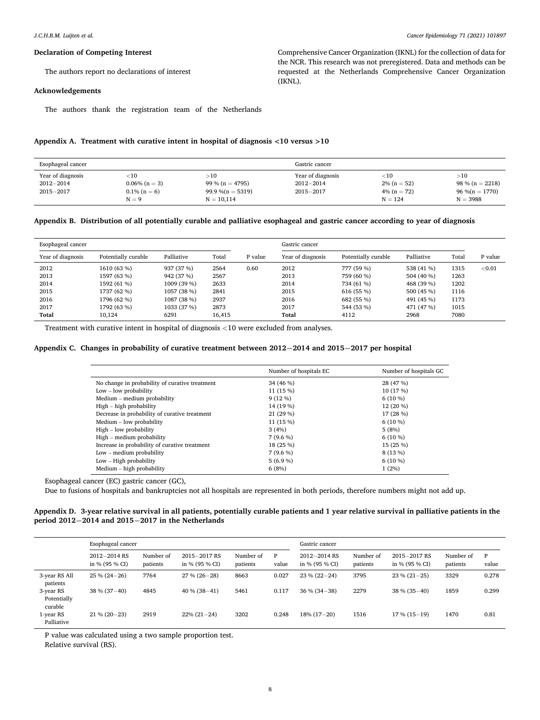Comprehensive Cancer Organization (IKNL) for the collection of data for the NCR. This research was not preregistered. Data and methods can be requested at the Netherlands Comprehensive Cancer Organization

#### **Declaration of Competing Interest**

The authors report no declarations of interest

#### **Acknowledgements**

The authors thank the registration team of the Netherlands

#### **Appendix A. Treatment with curative intent in hospital of diagnosis <10 versus >10**

| Esophageal cancer                                   |                                                           |                                                               | Gastric cancer                                      |                                                          |                                                             |
|-----------------------------------------------------|-----------------------------------------------------------|---------------------------------------------------------------|-----------------------------------------------------|----------------------------------------------------------|-------------------------------------------------------------|
| Year of diagnosis<br>$2012 - 2014$<br>$2015 - 2017$ | ${<}10$<br>$0.06\%$ (n = 3)<br>$0.1\%$ (n = 6)<br>$N = 9$ | >10<br>99 % (n = 4795)<br>$99.9\%$ (n = 5319)<br>$N = 10,114$ | Year of diagnosis<br>$2012 - 2014$<br>$2015 - 2017$ | ${<}10$<br>$2\%$ (n = 52)<br>$4\%$ (n = 72)<br>$N = 124$ | >10<br>$98\% (n = 2218)$<br>$96\%$ (n = 1770)<br>$N = 3988$ |

(IKNL).

## **Appendix B. Distribution of all potentially curable and palliative esophageal and gastric cancer according to year of diagnosis**

| Esophageal cancer |                     |             |        | Gastric cancer |                   |                     |            |       |         |
|-------------------|---------------------|-------------|--------|----------------|-------------------|---------------------|------------|-------|---------|
| Year of diagnosis | Potentially curable | Palliative  | Total  | P value        | Year of diagnosis | Potentially curable | Palliative | Total | P value |
| 2012              | 1610 (63 %)         | 937 (37 %)  | 2564   | 0.60           | 2012              | 777 (59 %)          | 538 (41 %) | 1315  | < 0.01  |
| 2013              | 1597 (63 %)         | 942 (37 %)  | 2567   |                | 2013              | 759 (60 %)          | 504 (40 %) | 1263  |         |
| 2014              | 1592 (61 %)         | 1009 (39 %) | 2633   |                | 2014              | 734 (61 %)          | 468 (39 %) | 1202  |         |
| 2015              | 1737 (62 %)         | 1057 (38 %) | 2841   |                | 2015              | 616 (55 %)          | 500 (45 %) | 1116  |         |
| 2016              | 1796 (62 %)         | 1087 (38 %) | 2937   |                | 2016              | 682 (55 %)          | 491 (45 %) | 1173  |         |
| 2017              | 1792 (63 %)         | 1033 (37 %) | 2873   |                | 2017              | 544 (53 %)          | 471 (47 %) | 1015  |         |
| <b>Total</b>      | 10.124              | 6291        | 16.415 |                | Total             | 4112                | 2968       | 7080  |         |

Treatment with curative intent in hospital of diagnosis *<*10 were excluded from analyses.

## **Appendix C. Changes in probability of curative treatment between 2012¡2014 and 2015¡2017 per hospital**

|                                                | Number of hospitals EC | Number of hospitals GC |
|------------------------------------------------|------------------------|------------------------|
| No change in probability of curative treatment | 34 (46 %)              | 28 (47 %)              |
| $Low - low probability$                        | 11 (15 %)              | 10 (17 %)              |
| Medium - medium probability                    | $9(12\%)$              | $6(10\%)$              |
| High - high probability                        | 14 (19 %)              | 12 (20 %)              |
| Decrease in probability of curative treatment  | 21 (29 %)              | 17 (28 %)              |
| Medium - low probability                       | 11 (15 %)              | $6(10\%)$              |
| $High - low probability$                       | 3(4%)                  | 5(8%)                  |
| High – medium probability                      | $7(9.6\%)$             | $6(10\%)$              |
| Increase in probability of curative treatment  | 18 (25 %)              | 15 (25 %)              |
| $Low - medium$ probability                     | $7(9.6\%)$             | 8 (13 %)               |
| $Low - High probability$                       | $5(6.9\%)$             | $6(10\%)$              |
| Medium – high probability                      | 6(8%)                  | 1(2%)                  |

Esophageal cancer (EC) gastric cancer (GC),

Due to fusions of hospitals and bankruptcies not all hospitals are represented in both periods, therefore numbers might not add up.

## **Appendix D. 3-year relative survival in all patients, potentially curable patients and 1 year relative survival in palliative patients in the period 2012¡2014 and 2015¡2017 in the Netherlands**

|                                     | Esophageal cancer               |                       |                                |                       | Gastric cancer |                                      |                       |                                |                       |            |
|-------------------------------------|---------------------------------|-----------------------|--------------------------------|-----------------------|----------------|--------------------------------------|-----------------------|--------------------------------|-----------------------|------------|
|                                     | 2012-2014 RS<br>in % $(95%$ CI) | Number of<br>patients | 2015-2017 RS<br>in % (95 % CI) | Number of<br>patients | P<br>value     | $2012 - 2014$ RS<br>in % $(95 % C1)$ | Number of<br>patients | 2015-2017 RS<br>in % (95 % CI) | Number of<br>patients | P<br>value |
| 3-year RS All<br>patients           | $25\% (24 - 26)$                | 7764                  | $27\% (26 - 28)$               | 8663                  | 0.027          | $23\% (22 - 24)$                     | 3795                  | $23\% (21 - 25)$               | 3329                  | 0.278      |
| 3-year RS<br>Potentially<br>curable | $38\% (37-40)$                  | 4845                  | $40\%$ (38-41)                 | 5461                  | 0.117          | $36\% (34-38)$                       | 2279                  | $38\%$ (35-40)                 | 1859                  | 0.299      |
| 1-year RS<br>Palliative             | $21\% (20 - 23)$                | 2919                  | $22\% (21 - 24)$               | 3202                  | 0.248          | $18\%$ (17-20)                       | 1516                  | $17\%$ (15-19)                 | 1470                  | 0.81       |

P value was calculated using a two sample proportion test.

Relative survival (RS).